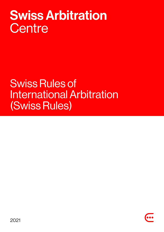# **Swiss Arbitration** Centre

# Swiss Rules of International Arbitration (Swiss Rules)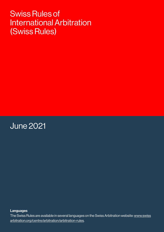# Swiss Rules of International Arbitration (Swiss Rules)

June 2021

Languages

The Swiss Rules are available in several languages on the Swiss Arbitration website: www.swiss arbitration.org/centre/arbitration/arbitration-rules.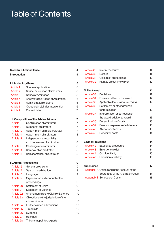# Table of Contents

| <b>Model Arbitration Clause</b><br>4 |                                          |                |  |  |
|--------------------------------------|------------------------------------------|----------------|--|--|
| <b>Introduction</b>                  |                                          | 4              |  |  |
| <b>I. Introductory Rules</b>         |                                          | 5              |  |  |
| Article <sub>1</sub>                 | Scope of application                     | 5              |  |  |
| <b>Article 2</b>                     | Notice, calculation of time limits       | 5              |  |  |
| Article <sub>3</sub>                 | Notice of Arbitration                    | 5              |  |  |
| Article 4                            | Answer to the Notice of Arbitration      | 6              |  |  |
| Article 5                            | Administration of claims                 | 6              |  |  |
| Article 6                            | Cross-claim, joinder, intervention       | 6              |  |  |
| Article <sub>7</sub>                 | Consolidation                            | $\overline{7}$ |  |  |
|                                      | II. Composition of the Arbitral Tribunal | 7              |  |  |
| Article 8                            | Confirmation of arbitrators              | $\overline{7}$ |  |  |
| Article 9                            | Number of arbitrators                    | $\overline{7}$ |  |  |
| Article 10                           | Appointment of a sole arbitrator         | $\overline{7}$ |  |  |
| <b>Article 11</b>                    | Appointment of arbitrators               | 8              |  |  |
| <b>Article 12</b>                    | Independence, impartiality               |                |  |  |
|                                      | and disclosures of arbitrators           | 8              |  |  |
| Article 13                           | Challenge of an arbitrator               | 8              |  |  |
| Article 14                           | Removal of an arbitrator                 | 8              |  |  |
| Article 15                           | Replacement of an arbitrator             | 8              |  |  |
| <b>III. Arbitral Proceedings</b>     |                                          | 9              |  |  |
| Article 16                           | General provisions                       | 9              |  |  |
| <b>Article 17</b>                    | Seat of the arbitration                  | 9              |  |  |
| Article 18                           | Language                                 | 9              |  |  |
| Article 19                           | Organisation and conduct of the          |                |  |  |
|                                      | proceedings                              | 9              |  |  |
| Article 20                           | <b>Statement of Claim</b>                | 9              |  |  |
| <b>Article 21</b>                    | <b>Statement of Defence</b>              | 10             |  |  |
| <b>Article 22</b>                    | Amendments to the Claim or Defence       | 10             |  |  |
| Article 23                           | Objections to the jurisdiction of the    |                |  |  |
|                                      | arbitral tribunal                        | 10             |  |  |
| Article 24                           | Further written submissions              | 10             |  |  |
| Article 25                           | <b>Time limits</b>                       | 10             |  |  |
| Article 26                           | Evidence                                 | 10             |  |  |
| Article 27                           | Hearings                                 | 11             |  |  |
| Article 28                           | Tribunal-appointed experts               | 11             |  |  |

| Article 29                 | Interim measures                           |  | 11 |
|----------------------------|--------------------------------------------|--|----|
| Article 30                 | Default                                    |  | 11 |
| Article 31                 | Closure of proceedings                     |  | 12 |
| Article 32                 | Right to object and waiver                 |  | 12 |
|                            |                                            |  |    |
| <b>IV. The Award</b>       |                                            |  | 12 |
| Article 33                 | Decisions                                  |  | 12 |
| Article 34                 | Form and effect of the award               |  | 12 |
| Article 35                 | Applicable law, ex aequo et bono           |  | 12 |
| Article 36                 | Settlement or other grounds                |  |    |
|                            | for termination                            |  | 12 |
| Article 37                 | Interpretation or correction of            |  |    |
|                            | the award, additional award                |  | 13 |
| Article 38                 | Determination of costs                     |  | 13 |
| Article 39                 | Fees and expenses of arbitrators           |  | 13 |
| Article 40                 | Allocation of costs                        |  | 13 |
| <b>Article 41</b>          | Deposit of costs                           |  | 14 |
|                            |                                            |  |    |
| <b>V. Other Provisions</b> |                                            |  | 14 |
| Article 42                 | <b>Expedited procedure</b>                 |  | 14 |
| Article 43                 | Emergency relief                           |  | 14 |
| Article 44                 | Confidentiality                            |  | 15 |
| Article 45                 | Exclusion of liability                     |  | 15 |
| <b>Appendices</b>          |                                            |  | 17 |
|                            | Appendix A Offices and Bank Account of the |  |    |
|                            | Secretariat of the Arbitration Court       |  | 17 |
|                            | <b>Appendix B Schedule of Costs</b>        |  | 18 |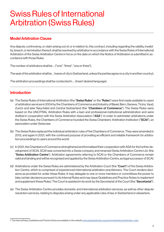# Swiss Rules of International Arbitration (Swiss Rules)

# Model Arbitration Clause

Any dispute, controversy, or claim arising out of, or in relation to, this contract, including regarding the validity, invalidity, breach, or termination thereof, shall be resolved by arbitration in accordance with the Swiss Rules of International Arbitration of the Swiss Arbitration Centre in force on the date on which the Notice of Arbitration is submitted in accordance with those Rules.

The number of arbitrators shall be ... ("one", "three", "one or three");

The seat of the arbitration shall be ... (name of city in Switzerland, unless the parties agree on a city in another country);

The arbitration proceedings shall be conducted in … (insert desired language).

# Introduction

- (a) The Swiss Rules of International Arbitration (the "Swiss Rules" or the "Rules") were first made available to users of arbitration services in 2004 by the Chambers of Commerce and Industry of Basel, Bern, Geneva, Ticino, Vaud, Zurich and later Neuchâtel and Central Switzerland (the "Chambers of Commerce"). The Swiss Rules were based on the UNCITRAL Arbitration Rules with a lean and professional institutional administration and were drafted in cooperation with the Swiss Arbitration Association ("ASA"). In order to administer arbitrations under the Swiss Rules, the Chambers of Commerce founded the Swiss Chambers' Arbitration Institution ("SCAI"), an association under Swiss law.
- (b) The Swiss Rules replaced the individual arbitration rules of the Chambers of Commerce. They were amended in 2012, and again in 2021, with the continued purpose of providing an efficient and reliable framework for arbitration proceedings to users around the world.
- (c) In 2021, the Chambers of Commerce strengthened and formalised their cooperation with ASA for the further development of SCAI. SCAI was converted into a Swiss company and renamed Swiss Arbitration Centre Ltd. (the "Swiss Arbitration Centre"). Arbitration agreements referring to SCAI or the Chambers of Commerce remain valid and binding and will be recognised and applied by the Swiss Arbitration Centre, as legal successor of SCAI.
- (d) Arbitrations under the Swiss Rules are administered by the Arbitration Court (the "Court") of the Swiss Arbitration Centre, which is comprised of experienced international arbitration practitioners. The Court renders decisions as provided for under these Rules. It may delegate to one or more members or committees the power to take certain decisions pursuant to its Internal Rules and may issue Guidelines and Practice Notes to implement and supplement these Rules.<sup>1</sup> The Court is assisted in its work by the Secretariat of the Court (the "**Secretariat**").
- (e) The Swiss Arbitration Centre provides domestic and international arbitration services, as well as other dispute resolution services, relating to disputes arising under any applicable rules of law, in Switzerland or elsewhere.

<sup>1.</sup> The Internal Rules, Guidelines and Practice Notes are available on the website www.swissarbitration.org/centre/arbitration/arbitration-rules.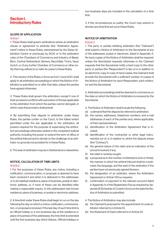# Section I. Introductory Rules

#### SCOPE OF APPLICATION

#### Article 1

1. These Rules shall govern arbitrations where an arbitration clause or agreement to arbitrate (the "Arbitration Agreement") refers to these Rules, administered by the Swiss Arbitration Centre or previously by SCAI, or to the arbitration rules of the Chambers of Commerce and Industry of Basel, Bern, Central Switzerland, Geneva, Neuchâtel, Ticino, Vaud, Zurich, or of any further Chamber of Commerce or other entity that may adhere to or refer its cases to these Rules.

2. This version of the Rules, in force as from 1 June 2021, shall apply to all arbitration proceedings in which the Notice of Arbitration is submitted on or after that date, unless the parties have agreed otherwise.

3. These Rules shall govern the arbitration, except if one of their provisions conflicts with a provision of the law applicable to the arbitration from which the parties cannot derogate, in which case that provision shall prevail.

4. By submitting their dispute to arbitration under these Rules, the parties confer on the Court, to the fullest extent permitted under the law applicable to the arbitration, all powers required for the purpose of supervising the arbitration proceedings otherwise vested in the competent judicial authority, including the power to extend the term of office of the arbitral tribunal and to decide on the challenge of an arbitrator on grounds not provided for in these Rules.

5. The seat of arbitration may be in Switzerland or elsewhere.

#### NOTICE, CALCULATION OF TIME LIMITS Article 2

1. For the purposes of these Rules, any notice, including a notification, communication, or proposal, is deemed to have been received if and when it is delivered to the addressee, or to its habitual residence, place of business, postal or electronic address, or, if none of these can be identified after making a reasonable inquiry, to the addressee's last known residence, place of business, or postal or electronic address.

2. A time limit under these Rules shall begin to run on the day following the day on which a notice, notification, communication, or proposal is received. If the last day of such time limit is an official holiday or a non-business day at the residence or place of business of the addressee, the time limit is extended until the first business day which follows. Official holidays or non-business days are included in the calculation of a time limit.

3. If the circumstances so justify, the Court may extend or shorten any time limit set out in these Rules.

#### NOTICE OF ARBITRATION Article 3

1. The party or parties initiating arbitration (the "Claimant") shall submit a Notice of Arbitration to the Secretariat at any of the addresses, postal or electronic, listed in Appendix A. No hard copies of the Notice of Arbitration shall be required, unless the Secretariat requests otherwise or the Claimant requests that the Secretariat notify a hard copy to the other party or parties (the "Respondent") in lieu of or in addition to an electronic copy. In case of hard copies, the Claimant shall provide the Secretariat with a sufficient number of copies of the Notice of Arbitration for each Respondent, each arbitrator and the Secretariat.

2. Arbitration proceedings shall be deemed to commence on the date on which the Notice of Arbitration is received by the Secretariat.

3. The Notice of Arbitration shall include the following:

- (a) a demand that the dispute be referred to arbitration;
- (b) the names, addresses, telephone numbers, and e-mail addresses of each of the parties and, where applicable, of their representatives;
- (c) identification of the Arbitration Agreement that is invoked;
- (d) identification of the contract(s) or other legal instrument(s) out of, or in relation to, which the dispute arises (the "Contract");
- (e) the general nature of the claim and an indication of the amount involved, if any;
- (f) the relief or remedy sought;
- (g) a proposal as to the number of arbitrators (one or three), the manner in which the arbitral tribunal shall be constituted, the language, and the seat of the arbitration if the parties have not previously agreed thereon;
- (h) the designation of an arbitrator, where the Arbitration Agreement or Article 11(1) so requires;
- (i) confirmation of payment to the relevant account listed in Appendix A of the Registration Fee as required by Appendix B (Schedule of Costs) in force on the date the Notice of Arbitration is submitted.
- 4. The Notice of Arbitration may also include:
- (a) the Claimant's proposal for the appointment of a sole arbitrator referred to in Article 10;
- (b) the Statement of Claim referred to in Article 20.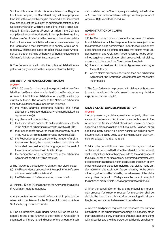5. If the Notice of Arbitration is incomplete or the Registration Fee is not paid, the Secretariat may set an appropriate time limit within which this may be remedied. The Secretariat may also request the Claimant to submit a translation of the Notice of Arbitration within the same time limit if it is not submitted in English, German, French, or Italian. If the Claimant complies with such directions within the applicable time limit, the Notice of Arbitration shall be deemed to have been validly filed on the date on which the initial version was received by the Secretariat. If the Claimant fails to comply with such directions within the applicable time limit, the Notice of Arbitration will be deemed to be withdrawn, without prejudice to the Claimant's right to resubmit it at a later date.

6. The Secretariat shall notify the Notice of Arbitration together with any exhibits to the Respondent without delay.

#### ANSWER TO THE NOTICE OF ARBITRATION  $\Delta$ rticle 4

1. Within 30 days from the date of receipt of the Notice of Arbitration, the Respondent shall submit to the Secretariat an Answer to the Notice of Arbitration. Article 3(1) shall apply mutatis mutandis. The Answer to the Notice of Arbitration shall, to the extent possible, include the following:

- (a) the name, address, telephone number, and e-mail address of the Respondent and, where applicable, of its representative(s);
- (b) any plea of lack of jurisdiction;
- (c) the Respondent's comments on the particulars set forth in the Notice of Arbitration referred to in Article 3(3)(e);
- (d) the Respondent's answer to the relief or remedy sought in the Notice of Arbitration referred to in Article 3(3)(f);
- (e) the Respondent's proposal as to the number of arbitrators (one or three), the manner in which the arbitral tribunal shall be constituted, the language, and the seat of the arbitration referred to in Article 3(3)(g);
- (f) the designation of an arbitrator, where the Arbitration Agreement or Article 11(1) so requires.

2. The Answer to the Notice of Arbitration may also include:

- (a) the Respondent's proposal for the appointment of a sole arbitrator referred to in Article 10;
- (b) the Statement of Defence referred to in Article 21.

3. Articles 3(5) and (6) shall apply to the Answer to the Notice of Arbitration mutatis mutandis.

4. Any counterclaim or set-off defence shall in principle be raised with the Answer to the Notice of Arbitration. Article 3(3) shall apply mutatis mutandis.

5. If no counterclaim, claim under Article 6(1) or set-off defence is raised or no Answer to the Notice of Arbitration is submitted, or if there is no indication of the amount of such claim or defence, the Court may rely exclusively on the Notice of Arbitration in order to determine the possible application of Article 42(1) (Expedited Procedure).

#### ADMINISTRATION OF CLAIMS Article 5

1. If the Respondent does not submit an Answer to the Notice of Arbitration, or if the Respondent raises an objection to the arbitration being administered under these Rules or any other jurisdictional objection, including that claims made under more than one Arbitration Agreement may not be determined together, the arbitration shall proceed with all claims, unless and to the extent the Court determines that:

- (a) there is manifestly no Arbitration Agreement referring to these Rules; or
- (b) where claims are made under more than one Arbitration Agreement, the Arbitration Agreements are manifestly incompatible.

2. The Court's decision to proceed with claims is without prejudice to the arbitral tribunal's power to render any decision as provided for in Article 23.

# CROSS-CLAIM, JOINDER, INTERVENTION Article 6

1. A party asserting a claim against another party other than a claim in the Notice of Arbitration or a counterclaim in the Answer to the Notice of Arbitration (cross-claim), or a party asserting a claim against an additional party (joinder), or an additional party asserting a claim against an existing party (intervention), shall do so by submitting a notice of claim. Article 3 shall apply mutatis mutandis.

2. Prior to the constitution of the arbitral tribunal, such notice of claim shall be submitted to the Secretariat. The Secretariat shall notify it together with any exhibits to the addressee of the claim, all other parties and any confirmed arbitrator. Any objection to the application of these Rules to the claim or any other jurisdictional objection, including that claims made under more than one Arbitration Agreement may not be determined together, shall be raised by the addressee of the claim or any other party within 15 days from the date of receipt of the notice of claim. Article 5 shall apply mutatis mutandis.

3. After the constitution of the arbitral tribunal, any crossclaim, request for joinder or request for intervention shall be decided by the arbitral tribunal, after consulting with all parties, taking into account all relevant circumstances.

4. Where a third person requests or is requested by a party to participate in the arbitration proceedings in a capacity other than an additional party, the arbitral tribunal, after consulting with all parties and the third person, shall decide on whether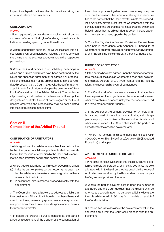to permit such participation and on its modalities, taking into account all relevant circumstances.

#### **CONSOLIDATION**

#### Article 7

1. Upon request of a party and after consulting with all parties and any confirmed arbitrator, the Court may consolidate arbitration proceedings pending under these Rules.

2. When rendering its decision, the Court shall take into account all relevant circumstances, including the links between the claims and the progress already made in the respective proceedings.

3. Where the Court decides to consolidate proceedings in which one or more arbitrators have been confirmed by the Court, and absent an agreement of all parties in all proceedings on the constitution of the arbitral tribunal in the consolidated proceedings, the Court may revoke the confirmation or appointment of arbitrators and apply the provisions of Section II (Composition of the Arbitral Tribunal). The parties to all proceedings shall be deemed to have waived their right to designate an arbitrator. Unless all parties agree or the Court decides otherwise, the proceedings shall be consolidated into the arbitration commenced first.

# Section II. Composition of the Arbitral Tribunal

# CONFIRMATION OF ARBITRATORS

#### Article 8

1. All designations of an arbitrator are subject to confirmation by the Court, upon which the appointments shall become effective. The reasons for a decision by the Court on the confirmation of an arbitrator need not be communicated.

2. Where a designation is not confirmed, the Court may either:

- (a) invite the party or parties concerned, or, as the case may be, the arbitrators, to make a new designation within a reasonable time limit; or
- (b) in exceptional circumstances, proceed directly with the appointment.

3. The Court shall have all powers to address any failure in the constitution of the arbitral tribunal under these Rules and may, in particular, revoke any appointment made, appoint or reappoint any of the arbitrators and designate one of them as the presiding arbitrator.

4. If, before the arbitral tribunal is constituted, the parties agree on a settlement of the dispute, or the continuation of the arbitration proceedings becomes unnecessary or impossible for other reasons, the Secretariat shall give advance notice to the parties that the Court may terminate the proceedings. Any party may request that the Court proceed with the constitution of the arbitral tribunal in accordance with these Rules in order that the arbitral tribunal determine and apportion the costs not agreed upon by the parties.

5. Once the Registration Fee and Provisional Deposit have been paid in accordance with Appendix B (Schedule of Costs) and all arbitrators have been confirmed, the Secretariat shall transmit the file to the arbitral tribunal without delay.

#### NUMBER OF ARBITRATORS

#### Article 9

1. If the parties have not agreed upon the number of arbitrators, the Court shall decide whether the case shall be referred to a sole arbitrator or to a three-member arbitral tribunal, taking into account all relevant circumstances.

2. The Court shall refer the case to a sole arbitrator, unless the complexity of the subject matter, the amount in dispute or other relevant circumstances justify that the case be referred to a three-member arbitral tribunal.

3. If the Arbitration Agreement provides for an arbitral tribunal composed of more than one arbitrator, and this appears inappropriate in view of the amount in dispute or of other circumstances, the Court shall invite the parties to agree to refer the case to a sole arbitrator.

4. Where the amount in dispute does not exceed CHF 1,000,000 (one million Swiss francs), Article 42(1) (Expedited Procedure) shall apply.

#### APPOINTMENT OF A SOLE ARBITRATOR Article 10

1. Where the parties have agreed that the dispute shall be referred to a sole arbitrator, they shall jointly designate the sole arbitrator within 30 days from the date on which the Notice of Arbitration was received by the Respondent, unless the parties' agreement provides otherwise.

2. Where the parties have not agreed upon the number of arbitrators and the Court decides that the dispute shall be referred to a sole arbitrator, the parties shall jointly designate the sole arbitrator within 30 days from the date of receipt of the Court's decision.

3. If the parties fail to designate the sole arbitrator within the applicable time limit, the Court shall proceed with the appointment.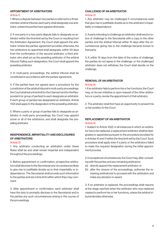#### APPOINTMENT OF ARBITRATORS Article 11

1. Where a dispute between two parties is referred to a threemember arbitral tribunal, each party shall designate one arbitrator, unless the parties have agreed otherwise.

2. If one party in a two-party dispute fails to designate an arbitrator within the time limit set by the Court or resulting from the Arbitration Agreement, the Court shall appoint the arbitrator. Unless the parties' agreement provides otherwise, the two arbitrators so appointed shall designate, within 30 days from the confirmation of the second arbitrator, a third arbitrator who shall act as the presiding arbitrator of the arbitral tribunal. Failing such designation, the Court shall appoint the presiding arbitrator.

3. In multi-party proceedings, the arbitral tribunal shall be constituted in accordance with the parties' agreement.

4. If the parties have not agreed upon a procedure for the constitution of the arbitral tribunal in multi-party proceedings, the Court shall set a time limit for the Claimant and for the Respondent (or group of parties) to each designate an arbitrator. If each group of parties has designated an arbitrator, Article 11(2) shall apply to the designation of the presiding arbitrator.

5. Where a party or group of parties fails to designate an arbitrator in multi-party proceedings, the Court may appoint some or all of the arbitrators, and shall designate the presiding arbitrator.

# INDEPENDENCE, IMPARTIALITY AND DISCLOSURES OF ARBITRATORS

#### Article 12

1. Any arbitrator conducting an arbitration under these Rules shall be and shall remain impartial and independent throughout the proceedings.

2. Before appointment or confirmation, prospective arbitrators shall disclose to the Secretariat any circumstances likely to give rise to justifiable doubts as to their impartiality or independence. The Secretariat shall provide such information to the parties and set a time limit within which they may comment.

3. After appointment or confirmation, each arbitrator shall have the duty to promptly disclose to the Secretariat and to the parties any such circumstances arising in the course of the proceedings.

#### CHALLENGE OF AN ARBITRATOR Article 13

1. Any arbitrator may be challenged if circumstances exist that give rise to justifiable doubts as to the arbitrator's impartiality or independence.

2. A party intending to challenge an arbitrator shall send a notice of challenge to the Secretariat with a copy to the other parties and the arbitral tribunal within 15 days after the circumstances giving rise to the challenge became known to that party.

3. If, within 15 days from the date of the notice of challenge, the parties do not agree to the challenge, or the challenged arbitrator does not withdraw, the Court shall decide on the challenge.

#### REMOVAL OF AN ARBITRATOR

#### Article 14

1. If an arbitrator fails to perform his or her functions, the Court may, on its own initiative or upon request of the other arbitrators or a party, revoke the appointment of that arbitrator.

2. The arbitrator shall first have an opportunity to present his or her position to the Court.

# REPLACEMENT OF AN ARBITRATOR

#### Article 15

1. Subject to Article 15(2), in all instances in which an arbitrator has to be replaced, a replacement arbitrator shall be designated or appointed pursuant to the procedure provided for in Articles 10 and 11 within the time limit set by the Court. Such procedure shall apply even if a party or the arbitrators failed to make the required designation during the initial appointment process.

2. In exceptional circumstances, the Court may, after consulting with the parties and any remaining arbitrators:

- (a) directly appoint the replacement arbitrator; or
- (b) after the closure of the proceedings, authorise the remaining arbitrator(s) to proceed with the arbitration and make any decision or award.

3. If an arbitrator is replaced, the proceedings shall resume at the stage reached when the arbitrator who was replaced ceased to perform his or her functions, unless the arbitral tribunal decides otherwise.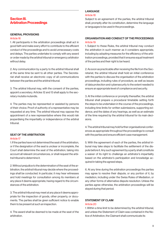# Section III. Arbitration Proceedings

#### GENERAL PROVISIONS

#### Article 16

1. All participants in the arbitration proceedings shall act in good faith and make every effort to contribute to the efficient conduct of the proceedings and to avoid unnecessary costs and delays. The parties undertake to comply with any award or order made by the arbitral tribunal or emergency arbitrator without delay.

2. Any communication by a party to the arbitral tribunal shall at the same time be sent to all other parties. The Secretariat shall receive an electronic copy of all communications between the parties and the arbitral tribunal.

3. The arbitral tribunal may, with the consent of the parties, appoint a secretary. Articles 12 and 13 shall apply to the secretary mutatis mutandis.

4. The parties may be represented or assisted by persons of their choice. Proof of authority of a representative may be requested at any time. The arbitral tribunal may oppose the appointment of a new representative where this would risk jeopardising the impartiality or independence of the arbitral tribunal.

# SEAT OF THE ARBITRATION

#### Article 17

1. If the parties have not determined the seat of the arbitration, or if the designation of the seat is unclear or incomplete, the Court shall determine the seat of the arbitration, taking into account all relevant circumstances, or shall request the arbitral tribunal to determine it.

2. Without prejudice to the determination of the seat of the arbitration, the arbitral tribunal may decide where the proceedings shall be conducted. In particular, it may hear witnesses and hold meetings for consultation among its members at any place it deems appropriate, having regard to the circumstances of the arbitration.

3. The arbitral tribunal may meet at any place it deems appropriate for the inspection of goods, other property, or documents. The parties shall be given sufficient notice to enable them to be present at such an inspection.

4. The award shall be deemed to be made at the seat of the arbitration.

# LANGUAGE

#### Article 18

Subject to an agreement of the parties, the arbitral tribunal shall, promptly after its constitution, determine the language or languages to be used in the proceedings.

#### ORGANISATION AND CONDUCT OF THE PROCEEDINGS Article 19

1. Subject to these Rules, the arbitral tribunal may conduct the arbitration in such manner as it considers appropriate, including by adopting measures for the efficiency of the arbitration proceedings, provided that it ensures equal treatment of the parties and their right to be heard.

2. As soon as practicable after receiving the file from the Secretariat, the arbitral tribunal shall hold an initial conference with the parties to discuss the organisation of the arbitration proceedings, including rules of procedure, as well as issues of data protection and cybersecurity to the extent needed to ensure an appropriate level of compliance and security.

3. At the initial conference or promptly thereafter, the arbitral tribunal shall prepare a procedural timetable setting forth the steps to be undertaken in the course of the proceedings, including time limits for written submissions, supporting evidence, and the dates of any hearings, as well as an estimate of the time required by the arbitral tribunal for its main decisions.

4. The arbitral tribunal may hold further organisational conferences as appropriate throughout the proceedings to consult with the parties and ensure efficient case management.

5. With the agreement of each of the parties, the arbitral tribunal may take steps to facilitate the settlement of the dispute before it. Any such agreement by a party shall constitute a waiver of its right to challenge an arbitrator's impartiality based on the arbitrator's participation and knowledge acquired in taking the agreed steps.

6. At any time during the arbitration proceedings the parties may agree to resolve their dispute, or any portion of it, by mediation, including under the Swiss Rules of Mediation, or any other forms of alternative dispute resolution. Unless the parties agree otherwise, the arbitration proceedings will be stayed during that period.

#### STATEMENT OF CLAIM Article 20

1. Within a time limit to be determined by the arbitral tribunal, and unless the Statement of Claim was contained in the No-

tice of Arbitration, the Claimant shall communicate its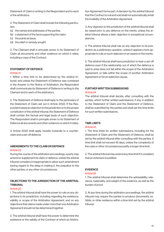Statement of Claim in writing to the Respondent and to each of the arbitrators.

2. The Statement of Claim shall include the following particulars:

- (a) the names and addresses of the parties;
- (b) a statement of the facts supporting the claim;
- (c) the points at issue;
- (d) the relief or remedy sought.

3. The Claimant shall in principle annex to its Statement of Claim all documents and other evidence on which it relies, including a copy of the Contract.

### STATEMENT OF DEFENCE

#### Article 21

1. Within a time limit to be determined by the arbitral tribunal, and unless the Statement of Defence was contained in the Answer to the Notice of Arbitration, the Respondent shall communicate its Statement of Defence in writing to the Claimant and to each of the arbitrators.

2. The Statement of Defence shall reply to the particulars of the Statement of Claim set out in Article 20(2). If the Respondent raises an objection to the jurisdiction or to the proper constitution of the arbitral tribunal, the Statement of Defence shall contain the factual and legal basis of such objection. The Respondent shall in principle annex to its Statement of Defence all documents and other evidence on which it relies.

3. Article 20(2) shall apply mutatis mutandis to a counterclaim and a set-off defence.

#### AMENDMENTS TO THE CLAIM OR DEFENCE Article 22

During the course of the arbitration proceedings, a party may amend or supplement its claim or defence, unless the arbitral tribunal considers it inappropriate to allow such amendment having regard to the delay in making it, the prejudice to the other parties, or any other circumstances.

# OBJECTIONS TO THE JURISDICTION OF THE ARBITRAL **TRIBUNAL**

#### Article 23

1. The arbitral tribunal shall have the power to rule on any objections to its jurisdiction, including regarding the existence, validity or scope of the Arbitration Agreement, and on any objections that claims made under more than one Arbitration Agreement should not be determined together.

2. The arbitral tribunal shall have the power to determine the existence or the validity of the Contract of which an Arbitration Agreement forms part. A decision by the arbitral tribunal that the Contract is null and void shall not automatically entail the invalidity of the Arbitration Agreement.

3. Any objection to the jurisdiction of the arbitral tribunal shall be raised prior to any defence on the merits, unless the arbitral tribunal allows a later objection in exceptional circumstances.

4. The arbitral tribunal shall rule on any objection to its jurisdiction as a preliminary question, unless it appears more appropriate to rule on such objection in an award on the merits.

5. The arbitral tribunal shall have jurisdiction to hear a set-off defence even if the relationship out of which the defence is said to arise does not fall within the scope of the Arbitration Agreement, or falls within the scope of another Arbitration Agreement or forum selection clause.

#### FURTHER WRITTEN SUBMISSIONS Article 24

The arbitral tribunal shall decide, after consulting with the parties, which further written submissions, if any, in addition to the Statement of Claim and the Statement of Defence, shall be submitted by the parties and shall set the time limits for such written submissions.

#### TIME LIMITS

#### Article 25

1. The time limits for written submissions, including for the Statement of Claim and the Statement of Defence, shall be set by the arbitral tribunal after consulting with the parties. A time limit shall not exceed 45 days, unless the complexity of the case or other circumstances justify a longer time limit.

2. The arbitral tribunal may extend any time limit if it considers that an extension is justified.

#### EVIDENCE

#### Article 26

1. The arbitral tribunal shall determine the admissibility, relevance, materiality, and weight of the evidence, as well as the burden of proof.

2. At any time during the arbitration proceedings, the arbitral tribunal may require the parties to produce documents, exhibits, or other evidence within a time limit set by the arbitral tribunal.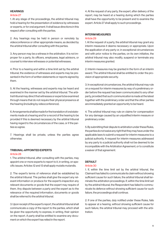#### **HEARINGS**

#### Article 27

1. At any stage of the proceedings, the arbitral tribunal may hold a hearing for the presentation of evidence by witnesses or experts, or for oral argument. It shall issue directions in this respect after consulting with the parties.

2. Any hearings may be held in person or remotely by videoconference or other appropriate means, as decided by the arbitral tribunal after consulting with the parties.

3. Any person may be a witness in the arbitration. It is not improper for a party, its officers, employees, legal advisors, or counsel to interview witnesses or potential witnesses.

4. Prior to a hearing and within a time limit set by the arbitral tribunal, the evidence of witnesses and experts may be presented in the form of written statements or reports signed by them.

5. At the hearing, witnesses and experts may be heard and examined in the manner set by the arbitral tribunal. The arbitral tribunal may direct that witnesses or experts be examined through means that do not require their physical presence at the hearing (including by videoconference).

6. Arrangements shall be made for the translation of oral statements made at a hearing and for a record of the hearing to be provided if this is deemed necessary by the arbitral tribunal having regard to the circumstances of the case, or if the parties so agree.

7. Hearings shall be private, unless the parties agree otherwise.

#### TRIBUNAL-APPOINTED EXPERTS

#### Article 28

1. The arbitral tribunal, after consulting with the parties, may appoint one or more experts to report to it, in writing, on specific issues. Articles 12 and 13 shall apply mutatis mutandis.

2. The expert's terms of reference shall be established by the arbitral tribunal. The parties shall give the expert any relevant information or produce for the expert's inspection any relevant documents or goods that the expert may require of them. Any dispute between a party and the expert as to the relevance of the required information, documents or goods shall be referred to the arbitral tribunal.

3. Upon receipt of the expert's report, the arbitral tribunal shall communicate a copy of the report to the parties, which shall be given the opportunity to express, in writing, their opinion on the report. A party shall be entitled to examine any document on which the expert has relied in the report.

4. At the request of any party, the expert, after delivery of the report, may be heard at a hearing during which the parties shall have the opportunity to be present and to examine the expert. Article 27 shall apply to such proceedings.

#### INTERIM MEASURES Article 29

1. At the request of a party, the arbitral tribunal may grant any interim measures it deems necessary or appropriate. Upon the application of any party or, in exceptional circumstances and with prior notice to the parties, on its own initiative, the arbitral tribunal may also modify, suspend or terminate any interim measures granted.

2. Interim measures may be granted in the form of an interim award. The arbitral tribunal shall be entitled to order the provision of appropriate security.

3. In exceptional circumstances, the arbitral tribunal may rule on a request for interim measures by way of a preliminary order before the request has been communicated to any other party, provided that such communication is made at the latest together with the preliminary order and that the other parties are immediately granted an opportunity to be heard.

4. The arbitral tribunal may rule on claims for compensation for any damage caused by an unjustified interim measure or preliminary order.

5. By submitting their dispute to arbitration under these Rules, the parties do not waive any right that they may have under the applicable laws to submit a request for interim measures to a judicial authority. A request for interim measures addressed by any party to a judicial authority shall not be deemed to be incompatible with the Arbitration Agreement, or to constitute a waiver of that agreement.

#### **DEFAULT**

#### Article 30

1. If, within the time limit set by the arbitral tribunal, the Claimant has failed to communicate its claim without showing sufficient cause for such failure, the arbitral tribunal shall terminate the arbitration proceedings. If, within the time limit set by the arbitral tribunal, the Respondent has failed to communicate its defence without showing sufficient cause for such failure, the proceedings shall continue.

2. If one of the parties, duly notified under these Rules, fails to appear at a hearing, without showing sufficient cause for such failure, the arbitral tribunal may proceed with the arbitration.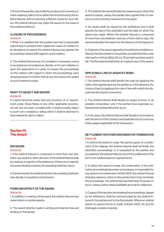3. If one of the parties, duly invited to produce documentary or other evidence, fails to do so within the time limit set by the arbitral tribunal, without showing sufficient cause for such failure, the arbitral tribunal may make the award on the basis of the evidence before it.

# CLOSURE OF PROCEEDINGS

#### Article 31

1. When it is satisfied that the parties have had a reasonable opportunity to present their respective cases on matters to be decided in an award, the arbitral tribunal may declare the proceedings closed with regard to such matters.

2. The arbitral tribunal may, if it considers it necessary owing to exceptional circumstances, decide, on its own initiative or upon the application of a party, to reopen the proceedings on the matters with regard to which the proceedings were closed pursuant to Article 31(1) at any time before the award on such matters is made.

# RIGHT TO OBJECT AND WAIVER

#### Article 32

If a party becomes aware that any provision of, or requirement under, these Rules or any other applicable procedural rule has not been complied with, it shall promptly object to such non-compliance, failing which it shall be deemed to have waived its right to object.

# Section IV. The Award

#### DECISIONS

#### Article 33

1. If the arbitral tribunal is composed of more than one arbitrator, any award or other decision of the arbitral tribunal shall be made by a majority of the arbitrators. If there is no majority, the award shall be made by the presiding arbitrator alone.

2. If authorised by the arbitral tribunal, the presiding arbitrator may decide on questions of procedure.

#### FORM AND EFFECT OF THE AWARD

#### Article 34

1. In addition to making a final award, the arbitral tribunal may make interim or partial awards.

2. The award shall be made in writing and shall be final and binding on the parties.

3. The arbitral tribunal shall state the reasons upon which the award is based, unless the parties have agreed that no reasons or only summary reasons are to be given.

4. An award shall be signed by the arbitrators and it shall specify the seat of the arbitration and the date on which the award was made. Where the arbitral tribunal is composed of more than one arbitrator and any of them fails to sign, the award shall state the reason for the absence of the signature.

5. Originals of the award signed by the arbitrators shall be notified by the Secretariat to the parties, provided that the costs referred to in Article 38(a), (b), (c), (f) and (g) have been paid in full. The Secretariat shall retain an original copy of the award.

#### APPLICABLE LAW, EX AEQUO ET BONO Article 35

1. The arbitral tribunal shall decide the case by applying the rules of law agreed upon by the parties or, in the absence of a choice of law, by applying the rules of law with which the dispute has the closest connection.

2. The arbitral tribunal shall decide ex aequo et bono or as amiable compositeur only if the parties have expressly authorised the arbitral tribunal to do so.

3. In all cases, the arbitral tribunal shall decide in accordance with the terms of the Contract and shall take into account any trade usages applicable to the transaction.

# SETTLEMENT OR OTHER GROUNDS FOR TERMINATION Article 36

1. If, before the award is made, the parties agree on a settlement of the dispute, the arbitral tribunal shall terminate the arbitration proceedings or, if requested by the parties and accepted by the arbitral tribunal, record the settlement in the form of an arbitral award on agreed terms.

2. If, before the award is made, the continuation of the arbitration proceedings becomes unnecessary or impossible for any reason not mentioned in Article 36(1), the arbitral tribunal shall give advance notice to the parties that it may terminate the proceedings. The arbitral tribunal shall have the power to do so, unless a party raises justifiable grounds for objection.

3. Copies of the decision terminating the proceedings, signed by the arbitrators, shall be communicated by the arbitral tribunal to the parties and to the Secretariat. Where an arbitral award on agreed terms is made, Articles 34(2), (4) and (5) shall apply mutatis mutandis.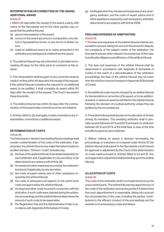# INTERPRETATION OR CORRECTION OF THE AWARD, ADDITIONAL AWARD

#### Article 37

1. Within 30 days after the receipt of the award, a party, with notice to the Secretariat and to the other parties, may request that the arbitral tribunal:

- (a) give an interpretation of the award;
- (b) correct in the award any errors in computation, any clerical or typographical errors, or any errors of similar nature;
- (c) make an additional award as to claims presented in the arbitration proceedings but omitted from the award.

2. The arbitral tribunal may set a time limit, in principle not exceeding 30 days, for the other party to comment on the request.

3. The interpretation shall be given or any correction shall be made in writing within 45 days after the receipt of the request. If the arbitral tribunal considers the request for an additional award to be justified, it shall complete its award within 60 days after the receipt of the request. The Court may extend these time limits.

4. The arbitral tribunal may within 30 days after the communication of the award make corrections on its own initiative.

5. Articles 34(2) to (5) shall apply mutatis mutandis to any interpretation, corrections or additional award.

# DETERMINATION OF COSTS

# Article 38

The final award or decision terminating the proceedings shall contain a determination of the costs of the arbitration. If appropriate, the arbitral tribunal may make that determination in another decision. The term "costs" includes only:

- (a) the fees of the arbitral tribunal, to be stated separately for each arbitrator and, if applicable, for any secretary, to be determined in accordance with Article 39;
- (b) the travel and other expenses incurred by the arbitral tribunal and, if applicable, by any secretary;
- (c) the costs of expert advice and of other assistance required by the arbitral tribunal;
- (d) the costs of witnesses and experts, to the extent such costs are approved by the arbitral tribunal;
- (e) the legal and other costs incurred in connection with the arbitration, if such costs were claimed during the arbitration proceedings and the arbitral tribunal determines the amount of such costs to be reasonable;
- (f) the Registration Fee and the Administrative Costs in accordance with Appendix B (Schedule of Costs);

(g) the Registration Fee, the fees and expenses of any emergency arbitrator, and the costs of expert advice and of other assistance required by such emergency arbitrator, determined in accordance with Article 43(9).

# FEES AND EXPENSES OF ARBITRATORS Article 39

1. The fees and expenses of the arbitral tribunal shall be reasonable in amount, taking into account the amount in dispute, the complexity of the subject matter of the arbitration, the time spent and any other relevant circumstances of the case, including the diligence and efficiency of the arbitral tribunal.

2. The fees and expenses of the arbitral tribunal shall be determined in accordance with Appendix B (Schedule of Costs). In the event of a discontinuation of the arbitration proceedings, the fees of the arbitral tribunal may be lower than the minimum amount foreseen in Appendix B (Schedule of Costs).

3. No additional costs may be charged by an arbitral tribunal for interpretation or correction of its award, or for an additional award, or where an award is remitted to the arbitral tribunal following the decision of a judicial authority, unless they are justified by the circumstances.

4. The arbitral tribunal shall decide on the allocation of its fees among its members. The presiding arbitrator shall in principle receive between 40 % and 50 % and each co-arbitrator between 25 % and 30 % of the total fees, in view of the time and efforts spent by each arbitrator.

5. Before making an award, a decision terminating the proceedings, or a decision on a request under Article 37, the arbitral tribunal shall submit to the Secretariat a draft thereof for approval or adjustment by the Court of the determination on costs made pursuant to Articles 38(a) to (c) and (f). Any such approval or adjustment shall be binding upon the arbitral tribunal.

# ALLOCATION OF COSTS

# Article 40

The costs of the arbitration shall in principle be borne by the unsuccessful party. The arbitral tribunal may apportion any of the costs of the arbitration among the parties if it determines that such apportionment is reasonable, taking into account the circumstances of the case, including the parties' contributions to the efficient conduct of the proceedings and the avoidance of unnecessary costs and delays.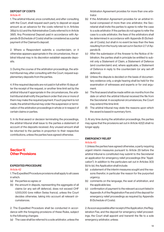# DEPOSIT OF COSTS

#### Article 41

1. The arbitral tribunal, once constituted, and after consulting with the Court, shall request each party to deposit an equal amount as an advance for the costs referred to in Articles 38(a) to (c) and the Administrative Costs referred to in Article 38(f). Any Provisional Deposit paid in accordance with Appendix B (Schedule of Costs) shall be considered as a partial payment of the Claimant's deposit.

2. Where a Respondent submits a counterclaim, or it otherwise appears appropriate in the circumstances, the arbitral tribunal may in its discretion establish separate deposits.

3. During the course of the arbitration proceedings, the arbitral tribunal may, after consulting with the Court, request supplementary deposits from the parties.

4. If the required deposits are not paid in full within 15 days after the receipt of the request, or another time limit set by the arbitral tribunal if appropriate in the circumstances, the arbitral tribunal shall notify the parties in order that one or more of them may make the required payment. If such payment is not made, the arbitral tribunal may order the suspension or termination of the arbitration proceedings in whole or in respect of certain claims or parties.

5. In its final award or decision terminating the proceedings, the arbitral tribunal shall issue to the parties a statement of account of the deposits received. Any unused amount shall be returned to the parties in proportion to their respective contributions, unless the parties have agreed otherwise.

# Section V. **Other Provisions**

#### EXPEDITED PROCEDURE

#### Article 42

1. The Expedited Procedure provisions shall apply to all cases in which:

- (a) the parties so agree; or
- (b) the amount in dispute, representing the aggregate of all claims (or any set-off defence), does not exceed CHF 1,000,000 (one million Swiss francs), unless the Court decides otherwise, taking into account all relevant circumstances.

2. The Expedited Procedure shall be conducted in accordance with the foregoing provisions of these Rules, subject to the following changes:

(a) The case shall be referred to a sole arbitrator, unless the

Arbitration Agreement provides for more than one arbitrator.

- (b) If the Arbitration Agreement provides for an arbitral tribunal composed of more than one arbitrator, the Secretariat shall invite the parties to agree to refer the case to a sole arbitrator. If the parties do not agree to refer the case to a sole arbitrator, the fees of the arbitrators shall be determined in accordance with Appendix B (Schedule of Costs), but shall in no event be less than the fees resulting from the hourly rate set out in Section 2.7 of Appendix B.
- (c) After the submission of the Answer to the Notice of Arbitration, the parties shall in principle be entitled to submit only a Statement of Claim, a Statement of Defence (and counterclaim) and, where applicable, a Statement of Defence in reply to the counterclaim (or any set-off defence).
- (d) Unless the dispute is decided on the basis of documentary evidence only, a single hearing shall be held for the examination of witnesses and experts or for oral argument.
- (e) The final award shall be made within six months from the date on which the arbitral tribunal received the file from the Secretariat. In exceptional circumstances, the Court may extend this time limit.
- (f) The arbitral tribunal may state the reasons upon which the award is based in summary form.

3. At any time during the arbitration proceedings, the parties may agree that the provisions set out in Article 42(2) shall no longer apply.

# EMERGENCY RELIEF

#### Article 43

1. Unless the parties have agreed otherwise, a party requiring urgent interim measures pursuant to Article 29 before the arbitral tribunal is constituted may submit to the Secretariat an application for emergency relief proceedings (the "Application"). In addition to the particulars set out in Articles 3(3) (b) to (e), the Application shall include:

- (a) a statement of the interim measures sought and the reasons therefor, in particular the reason for the purported urgency;
- (b) comments on the language, the seat of arbitration, and the applicable law;
- (c) confirmation of payment to the relevant account listed in Appendix A of the Registration Fee and of the deposit for emergency relief proceedings as required by Appendix B (Schedule of Costs).

2. As soon as possible after receipt of the Application, the Registration Fee, and the deposit for emergency relief proceedings, the Court shall appoint and transmit the file to a sole emergency arbitrator, unless: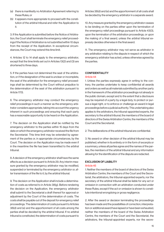- (a) there is manifestly no Arbitration Agreement referring to these Rules, or
- (b) it appears more appropriate to proceed with the constitution of the arbitral tribunal and refer the Application to it.

3. If the Application is submitted before the Notice of Arbitration, the Court shall terminate the emergency relief proceedings if the Notice of Arbitration is not submitted within 10 days from the receipt of the Application. In exceptional circumstances, the Court may extend this time limit.

4. Articles 12 to 14 shall apply to the emergency arbitrator, except that the time limits set out in Articles 13(2) and (3) are shortened to three days.

5. If the parties have not determined the seat of the arbitration, or if the designation of the seat is unclear or incomplete, the seat of the arbitration for the emergency relief proceedings shall be determined by the Court without prejudice to the determination of the seat of the arbitration pursuant to Article 17(1).

6. The emergency arbitrator may conduct the emergency relief proceedings in such a manner as the emergency arbitrator considers appropriate, taking into account the urgency inherent in such proceedings and ensuring that each party has a reasonable opportunity to be heard on the Application.

7. The decision on the Application shall be notified by the emergency arbitrator to the parties within 15 days from the date on which the emergency arbitrator received the file from the Secretariat. This time limit may be extended by agreement of the parties or, in appropriate circumstances, by the Court. The decision on the Application may be made even if in the meantime the file has been transmitted to the arbitral tribunal.

8. A decision of the emergency arbitrator shall have the same effects as a decision pursuant to Article 29. Any interim measure granted by the emergency arbitrator may be modified. suspended or terminated by the emergency arbitrator or, after transmission of the file to it, by the arbitral tribunal.

9. The decision on the Application shall include a determination of costs as referred to in Article 38(g). Before rendering the decision on the Application, the emergency arbitrator shall submit to the Secretariat a draft thereof for approval or adjustment by the Court of the determination of costs. The costs shall be payable out of the deposit for emergency relief proceedings. The determination of costs pursuant to Articles 38(d) and (e) and the apportionment of all costs among the parties shall be decided by the arbitral tribunal. If no arbitral tribunal is constituted, the determination of costs pursuant to Articles 38(d) and (e) and the apportionment of all costs shall be decided by the emergency arbitrator in a separate award.

10. Any measure granted by the emergency arbitrator ceases to be binding on the parties either upon the termination of the emergency relief proceedings pursuant to Article 43(3), upon the termination of the arbitration proceedings, or upon the making of a final award, unless the arbitral tribunal expressly decides otherwise in the final award.

11. The emergency arbitrator may not serve as arbitrator in any arbitration relating to the dispute in respect of which the emergency arbitrator has acted, unless otherwise agreed by the parties.

# CONFIDENTIALITY

#### Article 44

1. Unless the parties expressly agree in writing to the contrary, the parties undertake to keep confidential all awards and orders as well as all materials submitted by another party in the framework of the arbitration proceedings not already in the public domain, except and to the extent that a disclosure may be required of a party by a legal duty, to protect or pursue a legal right, or to enforce or challenge an award in legal proceedings before a judicial authority. This undertaking also applies to the arbitrators, the tribunal-appointed experts, the secretary to the arbitral tribunal, the members of the board of directors of the Swiss Arbitration Centre, the members of the Court and the Secretariat.

2. The deliberations of the arbitral tribunal are confidential.

3. No award or other decision of the arbitral tribunal may be published, whether in its entirety or in the form of excerpts or a summary, unless all parties agree and the names of the parties, the members of the arbitral tribunal and any information allowing for the identification of the dispute are redacted.

# EXCLUSION OF LIABILITY

#### Article 45

1. Neither the members of the board of directors of the Swiss Arbitration Centre, the members of the Court and the Secretariat, the arbitrators, the tribunal-appointed experts, nor the secretary of the arbitral tribunal shall be liable for any act or omission in connection with an arbitration conducted under these Rules, except if the act or omission is shown to constitute intentional wrongdoing or gross negligence.

2. After the award or decision terminating the proceedings has been made and the possibilities of correction, interpretation or additional award have lapsed or have been exhausted, neither the members of the board of the Swiss Arbitration Centre, the members of the Court and the Secretariat, the arbitrators, the tribunal-appointed experts, nor the secre-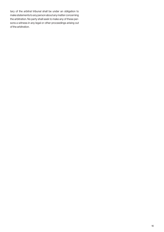tary of the arbitral tribunal shall be under an obligation to make statements to any person about any matter concerning the arbitration. No party shall seek to make any of these persons a witness in any legal or other proceedings arising out of the arbitration.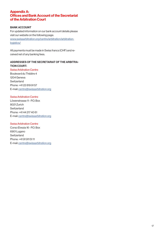# Appendix A: Offices and Bank Account of the Secretariat of the Arbitration Court

### BANK ACCOUNT

For updated information on our bank account details please visit our website on the following page: www.swissarbitration.org/centre/arbitration/arbitrationlogistics/

All payments must be made in Swiss francs (CHF) and received net of any banking fees.

# ADDRESSES OF THE SECRETARIAT OF THE ARBITRA-TION COURT:

Swiss Arbitration Centre Boulevard du Théâtre 4 1204 Geneva **Switzerland** Phone: +41 22 819 91 57 E-mail: centre@swissarbitration.org

#### Swiss Arbitration Centre

Löwenstrasse 11 - P.O. Box 8021 Zurich **Switzerland** Phone: +41 44 217 40 61 E-mail: centre@swissarbitration.org

#### Swiss Arbitration Centre

Corso Elvezia 16 - P.O. Box 6901 Lugano Switzerland Phone: +41 91 911 51 11 E-mail: centre@swissarbitration.org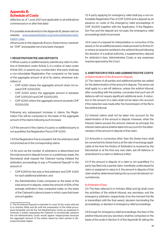# Appendix B: Schedule of Costs

(effective as of 1 June 2021 and applicable to all arbitrations commenced on or after that date)

For possible amendments to this Appendix B, please visit our website: www.swissarbitration.org/centre/arbitration/arbitration-rules.

(All amounts in this Appendix B are in Swiss francs, hereinafter "CHF" and payable net of any bank charges)

#### 1. REGISTRATION FEE AND DEPOSITS

1.1 When a party or additional party submits any claim in a Notice of Arbitration under Article 3, in a notice of claim under Article 6(1), or asserts any counterclaim, that party shall pay a non-refundable Registration Fee computed on the basis of the aggregate amount of all of its claims, whenever submitted, of

- CHF 4,500 where the aggregate amount does not exceed CHF 2,000,000;
- CHF 6,000 where the aggregate amount is between CHF 2,000,001 and CHF 10,000,000;
- CHF 8,000 where the aggregate amount exceeds CHF 10,000,000.

Following any subsequent increase in claims, the Registration Fee will be computed on the basis of the aggregate amount of the claims following such increase.

1.2 If the amount of the claims of a party or additional party is not quantified, the Registration Fee is CHF 6,000.

1.3 If the Registration Fee is not paid in full, the arbitration shall not proceed as to the corresponding claims.

1.4 As soon as the number of arbitrators is determined and the total amount in dispute known on a preliminary basis, the Secretariat shall request the Claimant having initiated the arbitration proceedings to pay a Provisional Deposit<sup>2</sup> in the amount of

- CHF 6,000 for the sole or first arbitrator and CHF 4,000 for each additional arbitrator; and
- the Administrative Costs computed on the basis of the total amount in dispute, unless the amount of 50% of the average arbitrator's fees computed solely on the basis of the Claimant's claims is lower in which case that lower amount applies.

1.5 A party applying for emergency relief shall pay a non-refundable Registration Fee of CHF 5,000 and a deposit as an advance on costs of the emergency relief proceedings of CHF 20,000 together with the Application. If the Registration Fee and the deposit are not paid, the emergency relief proceedings shall not proceed.

1.6 In case of a request for interpretation or correction of the award, or for an additional award, made pursuant to Article 37, or where an award is remitted to the arbitral tribunal following the decision of a judicial authority, a supplementary deposit for arbitrator's fees, Administrative Costs or any expenses requires approval by the Court.

#### 2. ARBITRATOR'S FEES AND ADMINISTRATIVE COSTS a) Determination of the Amount in Dispute

2.1 The claims of all parties and additional parties are added for the determination of the amount in dispute. The same rule shall apply to a set-off defence, unless the arbitral tribunal, after consulting with the parties, concludes that such set-off defence will not require significant additional work. A reduction in the amount of a claim shall not be taken into account if the reduction was made after the transmission of the file to the arbitral tribunal.

2.2 Interest claims shall not be taken into account for the determination of the amount in dispute. However, when the interest claims exceed the amount claimed as principal, the interest claims alone shall be taken into account for the determination of the amount in dispute of that claim.

2.3 Amounts in currencies other than the Swiss franc shall be converted into Swiss francs at the rate of exchange applicable at the time the Notice of Arbitration is received by the Secretariat or at the time any new claim, set-off defence or amendment to a claim or defence is filed.

2.4 If the amount in dispute of a claim is not quantified, if a party has filed only a partial claim, manifestly undervalued its claim or assigned no value to it, the amount in dispute of that claim shall be determined taking into account all relevant circumstances.

#### b) Arbitrator's Fees

2.5 The fees referred to in Articles 38(a) and (g) shall cover the activities of the arbitral tribunal, any secretary, and the emergency arbitrator, respectively, from the moment the file is transmitted until the final award, decision terminating the proceedings, or decision in emergency relief proceedings.

2.6 Except for emergency relief proceedings, the fees of the arbitral tribunal and any secretary shall be computed on the basis of the scale in Section 6 of this Appendix B, taking into

<sup>2.</sup> The Provisional Deposit is intended to cover (i) the costs referred to in Articles 38(a) and (b) until the preparation of the initial procedural timetable and (ii) the full Administrative Costs as explained in footnote 3 unless requesting the Claimant to provisionally advance the full Administrative Costs would appear inappropriate because the aggregate amount of the claims raised by other parties is disproportionately higher.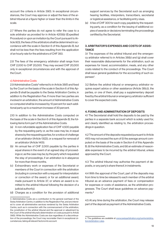account the criteria in Article 39(1). In exceptional circumstances, the Court may approve or adjust the fees of the arbitral tribunal at a figure higher or lower than the limits in the scale.

2.7 Where the parties do not agree to refer the case to a sole arbitrator as provided for in Article 42(1)(b) (Expedited Procedure) or upon an invitation by the Court pursuant to Article 9(3), the fees of the arbitrators shall be determined in accordance with the scale in Section 6 of this Appendix B, but shall not be less than the fees resulting from the application of an hourly rate for the arbitrators of CHF 350.

2.8 The fees of the emergency arbitrator shall range from CHF 2,000 to CHF 20,000. They may exceed CHF 20,000 only in exceptional circumstances and with the approval of the Court.

#### c) Administrative Costs

2.9 Administrative Costs<sup>3</sup> referred to in Article 38(f) and fixed by the Court on the basis of the scale in Section 6 of this Appendix B shall be payable to the Swiss Arbitration Centre, in addition to the Registration Fee. If more than two parties are involved in an arbitration, the amount of Administrative Costs so computed shall be increased by 10 percent for each additional party up to a maximum increase of 30 percent.

2.10 In addition to the Administrative Costs computed on the basis of the scale in Section 6 of this Appendix B, the following items form part of the Administrative Costs:

- (a) A non-refundable application fee of CHF 4,500 payable by the requesting party or, as the case may be, in equal shares by the requesting parties, for a notice of challenge of an arbitrator (Article 13(2)), or a request for removal of an arbitrator (Article 14(1)).
- (b) An annual fee of CHF 2,000 payable by the parties in equal shares in the event of an agreed stay of proceedings or, as the case may be, by the party which requested the stay of proceedings, if an arbitration is in abeyance for more than three months.
- (c) Extraordinary work or expenses of the Secretariat or members of the Court in connection with the arbitration (including in connection with a request for interpretation or correction of the award, or for an additional award, made pursuant to Article 37, or where an award is remitted to the arbitral tribunal following the decision of a judicial authority).
- (d) Charges as a condition for the provision of additional

support services by the Secretariat such as arranging hearing facilities, interpreters, transcribers, secretarial or logistical assistance, or facilitating entry visas.

(e) A fee of CHF 300 for each copy, payable by the requesting party, as a condition for the issuing of additional copies of awards or decisions terminating the proceedings certified by the Secretariat.

# 3. ARBITRATOR'S EXPENSES AND COSTS OF ASSIS-**TANCE**

3.1 The expenses of the arbitral tribunal and the emergency arbitrator referred to in Articles 38(b) and (g) shall cover their reasonable disbursements for the arbitration, such as expenses for travel, accommodation, meals, and any other costs related to the conduct of the proceedings. The Court shall issue general guidelines for the accounting of such expenses<sup>4</sup>. .

3.2 Before the arbitral tribunal or emergency arbitrator requires expert advice or other assistance (Article 38(c)), the parties, or one of them, shall pay a supplementary deposit fixed by the arbitral tribunal or emergency arbitrator sufficient to cover the expected costs.

# 4. FIXING AND ADMINISTRATION OF DEPOSITS

4.1 The Secretariat shall hold the deposits to be paid by the parties in a separate bank account which is solely used for, and clearly identified as relating to, the arbitration proceedings in question.

4.2 The amount of the deposits requested pursuant to Article 41(1) may not exceed the sum of (i) the average amount computed on the basis of the scale in Section 6 of this Appendix B, (ii) the Administrative Costs, and (iii) an estimate of reasonable expenses to be incurred by the arbitral tribunal, unless approved by the Court.

4.3 The arbitral tribunal may authorise the payment of deposits, or any party's share thereof, in instalments.

4.4 With the approval of the Court, part of the deposits may from time to time be released to each member of the arbitral tribunal as an advance payment of fees or compensation for expenses or costs of assistance, as the arbitration progresses. The Court shall issue guidelines on advance payments.<sup>4</sup>

4.5 At any time during the arbitration, the Court may release part of the deposit as payment of the Administrative Costs.

<sup>3.</sup> Administrative Costs are a contribution to the general overhead of the Swiss Arbitration Centre, in addition to the Registration Fee, and are intended to cover all administrative services rendered by the Swiss Arbitration Centre, such as in connection with the commencement of the arbitration, the constitution of the arbitral tribunal and the approval or adjustment by the Court of the arbitral tribunal's determination on costs pursuant to Article 39(5). While the Administrative Costs are due regardless of a discontinuation of the proceedings, the Court may reconsider them in exceptional circumstances, taking all relevant factors into account.

<sup>4.</sup> The guidelines are available at www.swissarbitration.org/centre/arbitration/arbitration-rules.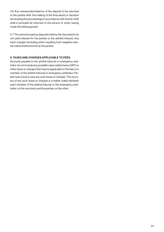4.6 Any unexpended balance of the deposit to be returned to the parties after the making of the final award or decision terminating the proceedings in accordance with Article 41(5) shall in principle be returned to the person or entity having made the initial payment.

4.7 The amounts paid as deposits held by the Secretariat do not yield interest for the parties or the arbitral tribunal. Any bank charges (including when resulting from negative interest rates) shall be borne by the parties.

# 5. TAXES AND CHARGES APPLICABLE TO FEES

Amounts payable to the arbitral tribunal or emergency arbitrator do not include any possible value added taxes (VAT) or other taxes or charges that may be applicable to the fees of a member of the arbitral tribunal or emergency arbitrator. Parties have a duty to pay any such taxes or charges. The recovery of any such taxes or charges is a matter solely between each member of the arbitral tribunal, or the emergency arbitrator, on the one hand, and the parties, on the other.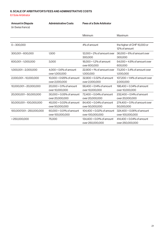#### 6. SCALE OF ARBITRATOR'S FEES AND ADMINISTRATIVE COSTS

6.1 Sole Arbitrator

| <b>Amount in Dispute</b><br>(in Swiss francs) | <b>Administrative Costs</b>  | <b>Fees of a Sole Arbitrator</b> |                                  |
|-----------------------------------------------|------------------------------|----------------------------------|----------------------------------|
|                                               |                              | Minimum                          | Maximum                          |
|                                               |                              |                                  |                                  |
| $0 - 300,000$                                 |                              | 4% of amount                     | the higher of CHF 15,000 or      |
|                                               |                              |                                  | 12% of amount                    |
| 300,001-600,000                               | 1,500                        | $12,000 + 2\%$ of amount over    | $36,000 + 6%$ of amount over     |
|                                               |                              | 300,000                          | 300,000                          |
| 600,001-1,000,000                             | 3,000                        | 18,000 + 1.2% of amount          | 54,000 + 4.8% of amount over     |
|                                               |                              | over 600,000                     | 600,000                          |
| 1,000,001 - 2,000,000                         | $4,000 + 0.6\%$ of amount    | $22,800 + 1%$ of amount over     | 73,200 + 3.4% of amount over     |
|                                               | over 1,000,000               | 1,000,000                        | 1,000,000                        |
| 2,000,001-10,000,000                          | $10,000 + 0.125\%$ of amount | 32,800 + 0.32% of amount         | 107,200 + 1.14% of amount over   |
|                                               | over 2,000,000               | over 2,000,000                   | 2,000,000                        |
| 10,000,001 - 20,000,000                       | $20,000 + 0.1\%$ of amount   | 58,400 + 0.14% of amount         | 198,400 + 0.34% of amount        |
|                                               | over 10,000,000              | over 10,000,000                  | over 10,000,000                  |
| 20,000,001-50,000,000                         | 30,000 + 0.05% of amount     | 72,400 + 0.04% of amount         | 232,400 + 0.14% of amount        |
|                                               | over 20,000,000              | over 20,000,000                  | over 20,000,000                  |
| 50,000,001-100,000,000                        | 45,000 + 0.03% of amount     | 84,400 + 0.04% of amount         | $274,400 + 0.1\%$ of amount over |
|                                               | over 50,000,000              | over 50,000,000                  | 50,000,000                       |
| 100,000'001-250,000,000                       | 60,000 + 0.01% of amount     | 104,400 + 0.02% of amount        | 324,400 + 0.06% of amount        |
|                                               | over 100,000,000             | over 100,000,000                 | over 100,000,000                 |
| > 250,000,000                                 | 75,000                       | 134,400 + 0.01% of amount        | 414,400 + 0.04% of amount        |
|                                               |                              | over 250,000,000                 | over 250,000,000                 |